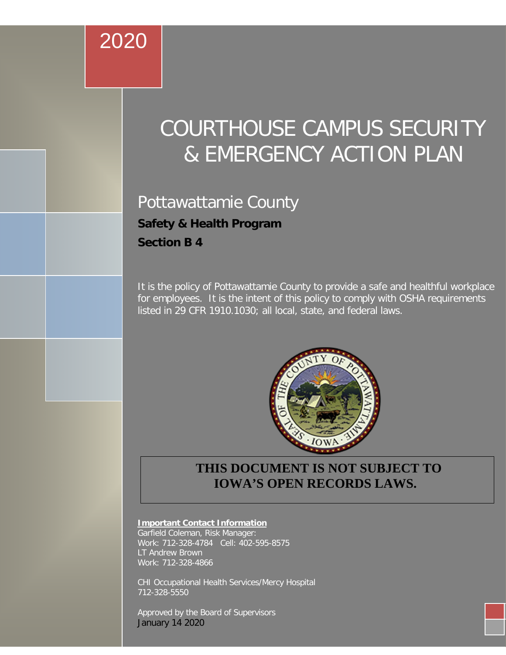# COURTHOUSE CAMPUS SECURITY & EMERGENCY ACTION PLAN

# Pottawattamie County **Safety & Health Program Section B 4**

2020

It is the policy of Pottawattamie County to provide a safe and healthful workplace for employees. It is the intent of this policy to comply with OSHA requirements listed in 29 CFR 1910.1030; all local, state, and federal laws.



# **THIS DOCUMENT IS NOT SUBJECT TO IOWA'S OPEN RECORDS LAWS.**

#### **Important Contact Information**

Garfield Coleman, Risk Manager: Work: 712-328-4784 Cell: 402-595-8575 LT Andrew Brown Work: 712-328-4866

CHI Occupational Health Services/Mercy Hospital 712-328-5550

Approved by the Board of Supervisors January 14 2020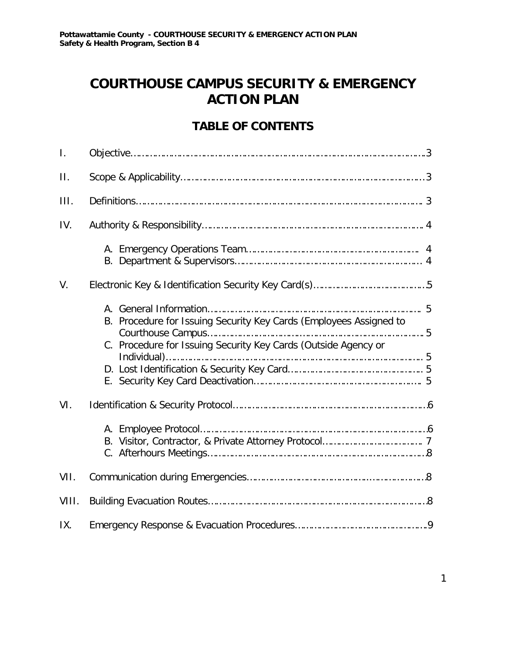# **COURTHOUSE CAMPUS SECURITY & EMERGENCY ACTION PLAN**

# **TABLE OF CONTENTS**

| $\mathbf{L}$ |                                                                                                                                      |  |  |
|--------------|--------------------------------------------------------------------------------------------------------------------------------------|--|--|
| $\Pi$ .      |                                                                                                                                      |  |  |
| III.         |                                                                                                                                      |  |  |
| IV.          |                                                                                                                                      |  |  |
|              |                                                                                                                                      |  |  |
| V.           |                                                                                                                                      |  |  |
|              | B. Procedure for Issuing Security Key Cards (Employees Assigned to<br>C. Procedure for Issuing Security Key Cards (Outside Agency or |  |  |
| VI.          |                                                                                                                                      |  |  |
| VII.         |                                                                                                                                      |  |  |
| VIII.        |                                                                                                                                      |  |  |
| IX.          |                                                                                                                                      |  |  |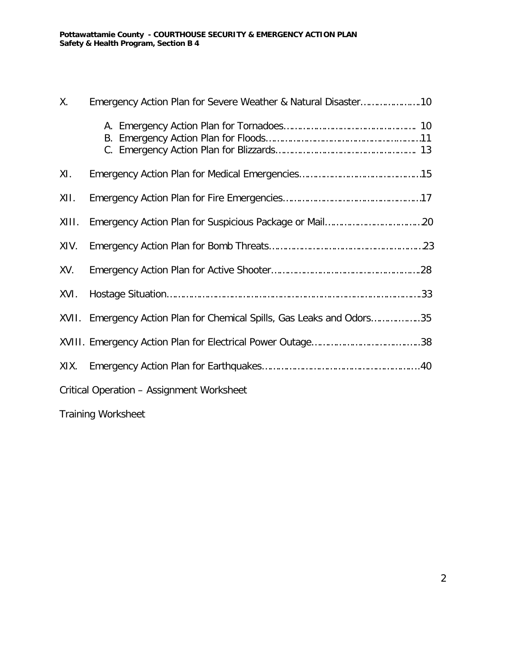| Χ.    | Emergency Action Plan for Severe Weather & Natural Disaster10          |  |  |  |
|-------|------------------------------------------------------------------------|--|--|--|
|       |                                                                        |  |  |  |
| XI.   |                                                                        |  |  |  |
| XII.  |                                                                        |  |  |  |
| XIII. |                                                                        |  |  |  |
| XIV.  |                                                                        |  |  |  |
| XV.   |                                                                        |  |  |  |
| XVI.  |                                                                        |  |  |  |
|       | XVII. Emergency Action Plan for Chemical Spills, Gas Leaks and Odors35 |  |  |  |
|       |                                                                        |  |  |  |
| XIX.  |                                                                        |  |  |  |
|       | Critical Operation - Assignment Worksheet                              |  |  |  |

Training Worksheet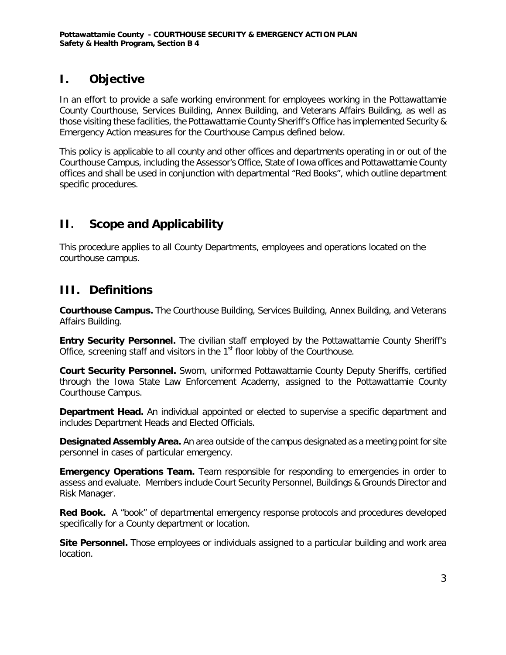# **I. Objective**

In an effort to provide a safe working environment for employees working in the Pottawattamie County Courthouse, Services Building, Annex Building, and Veterans Affairs Building, as well as those visiting these facilities, the Pottawattamie County Sheriff's Office has implemented Security & Emergency Action measures for the Courthouse Campus defined below.

This policy is applicable to all county and other offices and departments operating in or out of the Courthouse Campus, including the Assessor's Office, State of Iowa offices and Pottawattamie County offices and shall be used in conjunction with departmental "Red Books", which outline department specific procedures.

# **II. Scope and Applicability**

This procedure applies to all County Departments, employees and operations located on the courthouse campus.

# **III. Definitions**

**Courthouse Campus.** The Courthouse Building, Services Building, Annex Building, and Veterans Affairs Building.

**Entry Security Personnel.** The civilian staff employed by the Pottawattamie County Sheriff's Office, screening staff and visitors in the  $1<sup>st</sup>$  floor lobby of the Courthouse.

**Court Security Personnel.** Sworn, uniformed Pottawattamie County Deputy Sheriffs, certified through the Iowa State Law Enforcement Academy, assigned to the Pottawattamie County Courthouse Campus.

**Department Head.** An individual appointed or elected to supervise a specific department and includes Department Heads and Elected Officials.

**Designated Assembly Area.** An area outside of the campus designated as a meeting point for site personnel in cases of particular emergency.

**Emergency Operations Team.** Team responsible for responding to emergencies in order to assess and evaluate. Members include Court Security Personnel, Buildings & Grounds Director and Risk Manager.

**Red Book.** A "book" of departmental emergency response protocols and procedures developed specifically for a County department or location.

**Site Personnel.** Those employees or individuals assigned to a particular building and work area location.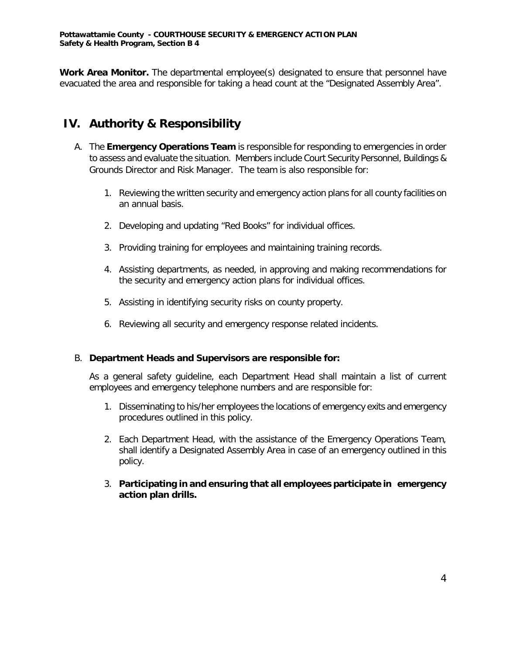**Work Area Monitor.** The departmental employee(s) designated to ensure that personnel have evacuated the area and responsible for taking a head count at the "Designated Assembly Area".

# **IV. Authority & Responsibility**

- A. The **Emergency Operations Team** is responsible for responding to emergencies in order to assess and evaluate the situation. Members include Court Security Personnel, Buildings & Grounds Director and Risk Manager. The team is also responsible for:
	- 1. Reviewing the written security and emergency action plans for all county facilities on an annual basis.
	- 2. Developing and updating "Red Books" for individual offices.
	- 3. Providing training for employees and maintaining training records.
	- 4. Assisting departments, as needed, in approving and making recommendations for the security and emergency action plans for individual offices.
	- 5. Assisting in identifying security risks on county property.
	- 6. Reviewing all security and emergency response related incidents.

### B. **Department Heads and Supervisors are responsible for:**

As a general safety guideline, each Department Head shall maintain a list of current employees and emergency telephone numbers and are responsible for:

- 1. Disseminating to his/her employees the locations of emergency exits and emergency procedures outlined in this policy.
- 2. Each Department Head, with the assistance of the Emergency Operations Team, shall identify a Designated Assembly Area in case of an emergency outlined in this policy.
- 3. **Participating in and ensuring that all employees participate in emergency action plan drills.**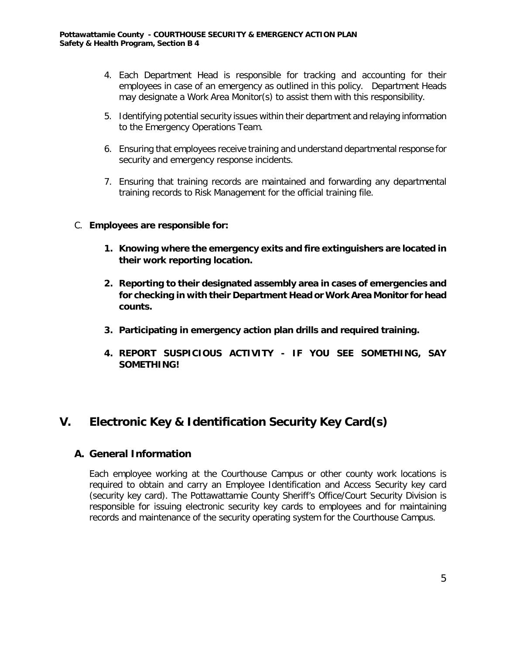- 4. Each Department Head is responsible for tracking and accounting for their employees in case of an emergency as outlined in this policy. Department Heads may designate a Work Area Monitor(s) to assist them with this responsibility.
- 5. Identifying potential security issues within their department and relaying information to the Emergency Operations Team.
- 6. Ensuring that employees receive training and understand departmental response for security and emergency response incidents.
- 7. Ensuring that training records are maintained and forwarding any departmental training records to Risk Management for the official training file.
- C. **Employees are responsible for:**
	- **1. Knowing where the emergency exits and fire extinguishers are located in their work reporting location.**
	- **2. Reporting to their designated assembly area in cases of emergencies and for checking in with their Department Head or Work Area Monitor for head counts.**
	- **3. Participating in emergency action plan drills and required training.**
	- **4. REPORT SUSPICIOUS ACTIVITY - IF YOU SEE SOMETHING, SAY SOMETHING!**

# **V. Electronic Key & Identification Security Key Card(s)**

### **A. General Information**

Each employee working at the Courthouse Campus or other county work locations is required to obtain and carry an Employee Identification and Access Security key card (security key card). The Pottawattamie County Sheriff's Office/Court Security Division is responsible for issuing electronic security key cards to employees and for maintaining records and maintenance of the security operating system for the Courthouse Campus.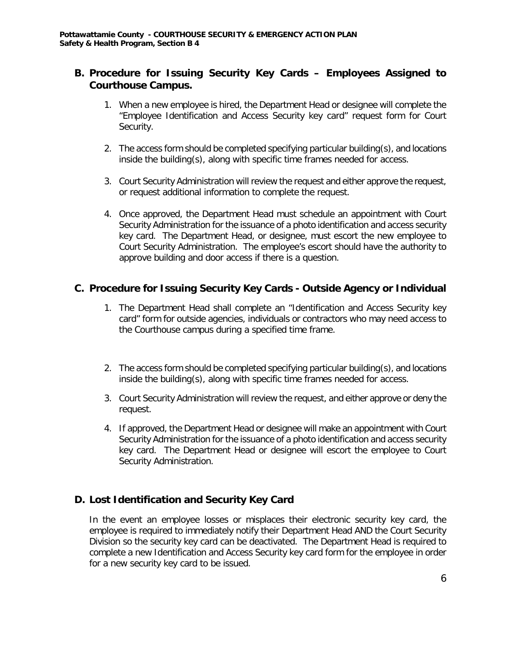# **B. Procedure for Issuing Security Key Cards – Employees Assigned to Courthouse Campus.**

- 1. When a new employee is hired, the Department Head or designee will complete the "Employee Identification and Access Security key card" request form for Court Security.
- 2. The access form should be completed specifying particular building(s), and locations inside the building(s), along with specific time frames needed for access.
- 3. Court Security Administration will review the request and either approve the request, or request additional information to complete the request.
- 4. Once approved, the Department Head must schedule an appointment with Court Security Administration for the issuance of a photo identification and access security key card. The Department Head, or designee, must escort the new employee to Court Security Administration. The employee's escort should have the authority to approve building and door access if there is a question.

# **C. Procedure for Issuing Security Key Cards - Outside Agency or Individual**

- 1. The Department Head shall complete an "Identification and Access Security key card" form for outside agencies, individuals or contractors who may need access to the Courthouse campus during a specified time frame.
- 2. The access form should be completed specifying particular building(s), and locations inside the building(s), along with specific time frames needed for access.
- 3. Court Security Administration will review the request, and either approve or deny the request.
- 4. If approved, the Department Head or designee will make an appointment with Court Security Administration for the issuance of a photo identification and access security key card. The Department Head or designee will escort the employee to Court Security Administration.

# **D. Lost Identification and Security Key Card**

In the event an employee losses or misplaces their electronic security key card, the employee is required to immediately notify their Department Head AND the Court Security Division so the security key card can be deactivated. The Department Head is required to complete a new Identification and Access Security key card form for the employee in order for a new security key card to be issued.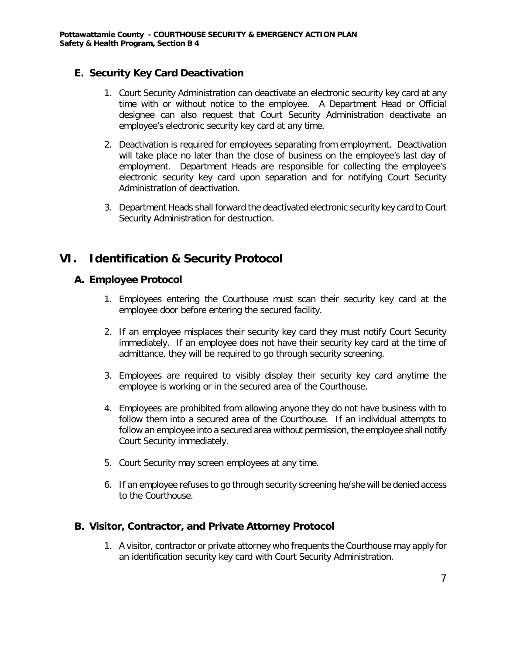# **E. Security Key Card Deactivation**

- 1. Court Security Administration can deactivate an electronic security key card at any time with or without notice to the employee. A Department Head or Official designee can also request that Court Security Administration deactivate an employee's electronic security key card at any time.
- 2. Deactivation is required for employees separating from employment. Deactivation will take place no later than the close of business on the employee's last day of employment. Department Heads are responsible for collecting the employee's electronic security key card upon separation and for notifying Court Security Administration of deactivation.
- 3. Department Heads shall forward the deactivated electronic security key card to Court Security Administration for destruction.

# **VI. Identification & Security Protocol**

# **A. Employee Protocol**

- 1. Employees entering the Courthouse must scan their security key card at the employee door before entering the secured facility.
- 2. If an employee misplaces their security key card they must notify Court Security immediately. If an employee does not have their security key card at the time of admittance, they will be required to go through security screening.
- 3. Employees are required to visibly display their security key card anytime the employee is working or in the secured area of the Courthouse.
- 4. Employees are prohibited from allowing anyone they do not have business with to follow them into a secured area of the Courthouse. If an individual attempts to follow an employee into a secured area without permission, the employee shall notify Court Security immediately.
- 5. Court Security may screen employees at any time.
- 6. If an employee refuses to go through security screening he/she will be denied access to the Courthouse.

# **B. Visitor, Contractor, and Private Attorney Protocol**

1. A visitor, contractor or private attorney who frequents the Courthouse may apply for an identification security key card with Court Security Administration.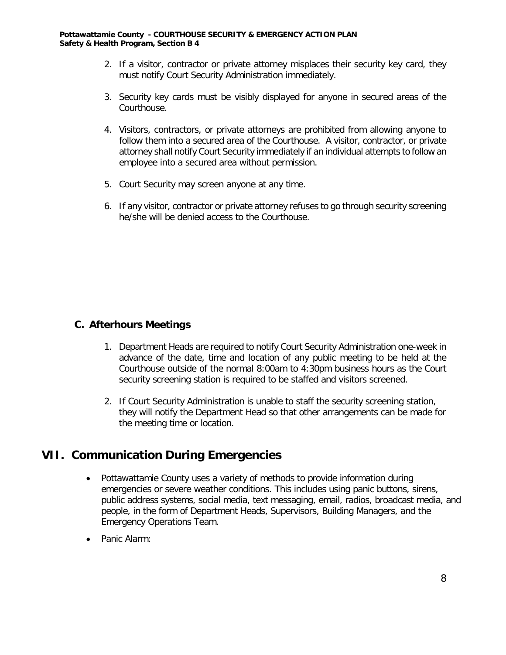- 2. If a visitor, contractor or private attorney misplaces their security key card, they must notify Court Security Administration immediately.
- 3. Security key cards must be visibly displayed for anyone in secured areas of the Courthouse.
- 4. Visitors, contractors, or private attorneys are prohibited from allowing anyone to follow them into a secured area of the Courthouse. A visitor, contractor, or private attorney shall notify Court Security immediately if an individual attempts to follow an employee into a secured area without permission.
- 5. Court Security may screen anyone at any time.
- 6. If any visitor, contractor or private attorney refuses to go through security screening he/she will be denied access to the Courthouse.

# **C. Afterhours Meetings**

- 1. Department Heads are required to notify Court Security Administration one-week in advance of the date, time and location of any public meeting to be held at the Courthouse outside of the normal 8:00am to 4:30pm business hours as the Court security screening station is required to be staffed and visitors screened.
- 2. If Court Security Administration is unable to staff the security screening station, they will notify the Department Head so that other arrangements can be made for the meeting time or location.

# **VII. Communication During Emergencies**

- Pottawattamie County uses a variety of methods to provide information during emergencies or severe weather conditions. This includes using panic buttons, sirens, public address systems, social media, text messaging, email, radios, broadcast media, and people, in the form of Department Heads, Supervisors, Building Managers, and the Emergency Operations Team.
- Panic Alarm: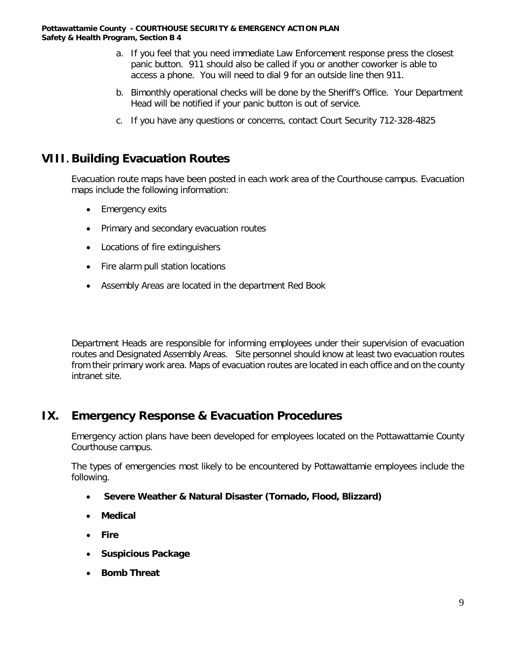- a. If you feel that you need immediate Law Enforcement response press the closest panic button. 911 should also be called if you or another coworker is able to access a phone. You will need to dial 9 for an outside line then 911.
- b. Bimonthly operational checks will be done by the Sheriff's Office. Your Department Head will be notified if your panic button is out of service.
- c. If you have any questions or concerns, contact Court Security 712-328-4825

# **VIII. Building Evacuation Routes**

Evacuation route maps have been posted in each work area of the Courthouse campus. Evacuation maps include the following information:

- Emergency exits
- Primary and secondary evacuation routes
- Locations of fire extinguishers
- Fire alarm pull station locations
- Assembly Areas are located in the department Red Book

Department Heads are responsible for informing employees under their supervision of evacuation routes and Designated Assembly Areas. Site personnel should know at least two evacuation routes from their primary work area. Maps of evacuation routes are located in each office and on the county intranet site.

# **IX. Emergency Response & Evacuation Procedures**

Emergency action plans have been developed for employees located on the Pottawattamie County Courthouse campus.

The types of emergencies most likely to be encountered by Pottawattamie employees include the following.

- **Severe Weather & Natural Disaster (Tornado, Flood, Blizzard)**
- **Medical**
- **Fire**
- **Suspicious Package**
- **Bomb Threat**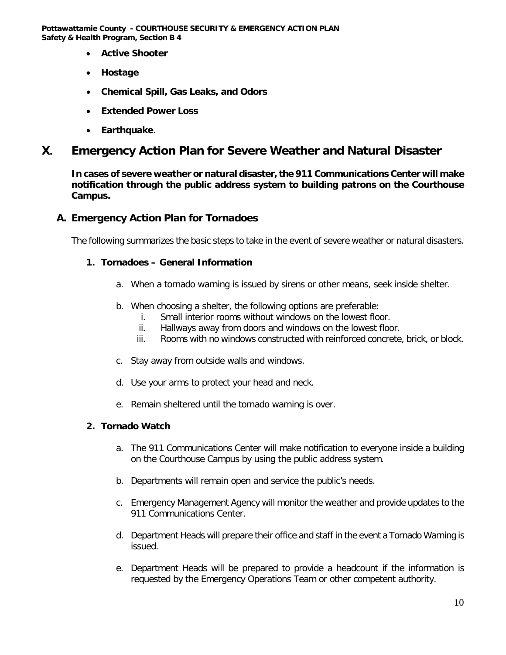- **Active Shooter**
- **Hostage**
- **Chemical Spill, Gas Leaks, and Odors**
- **Extended Power Loss**
- **Earthquake**.

# **X. Emergency Action Plan for Severe Weather and Natural Disaster**

**In cases of severe weather or natural disaster, the 911 Communications Center will make notification through the public address system to building patrons on the Courthouse Campus.**

### **A. Emergency Action Plan for Tornadoes**

The following summarizes the basic steps to take in the event of severe weather or natural disasters.

#### **1. Tornadoes – General Information**

- a. When a tornado warning is issued by sirens or other means, seek inside shelter.
- b. When choosing a shelter, the following options are preferable:
	- i. Small interior rooms without windows on the lowest floor.
	- ii. Hallways away from doors and windows on the lowest floor.
	- iii. Rooms with no windows constructed with reinforced concrete, brick, or block.
- c. Stay away from outside walls and windows.
- d. Use your arms to protect your head and neck.
- e. Remain sheltered until the tornado warning is over.

#### **2. Tornado Watch**

- a. The 911 Communications Center will make notification to everyone inside a building on the Courthouse Campus by using the public address system.
- b. Departments will remain open and service the public's needs.
- c. Emergency Management Agency will monitor the weather and provide updates to the 911 Communications Center.
- d. Department Heads will prepare their office and staff in the event a Tornado Warning is issued.
- e. Department Heads will be prepared to provide a headcount if the information is requested by the Emergency Operations Team or other competent authority.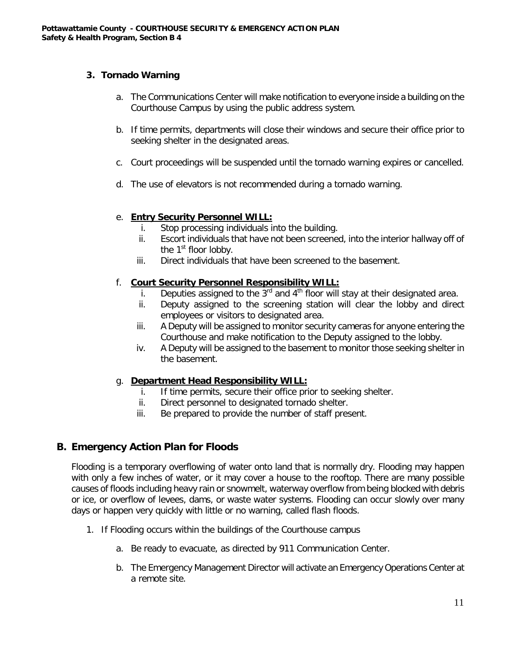## **3. Tornado Warning**

- a. The Communications Center will make notification to everyone inside a building on the Courthouse Campus by using the public address system.
- b. If time permits, departments will close their windows and secure their office prior to seeking shelter in the designated areas.
- c. Court proceedings will be suspended until the tornado warning expires or cancelled.
- d. The use of elevators is not recommended during a tornado warning.

## e. **Entry Security Personnel WILL:**

- i. Stop processing individuals into the building.
- ii. Escort individuals that have not been screened, into the interior hallway off of the  $1<sup>st</sup>$  floor lobby.
- iii. Direct individuals that have been screened to the basement.

## f. **Court Security Personnel Responsibility WILL:**

- i. Deputies assigned to the  $3<sup>rd</sup>$  and  $4<sup>th</sup>$  floor will stay at their designated area.
- ii. Deputy assigned to the screening station will clear the lobby and direct employees or visitors to designated area.
- iii. A Deputy will be assigned to monitor security cameras for anyone entering the Courthouse and make notification to the Deputy assigned to the lobby.
- iv. A Deputy will be assigned to the basement to monitor those seeking shelter in the basement.

### g. **Department Head Responsibility WILL:**

- i. If time permits, secure their office prior to seeking shelter.
- ii. Direct personnel to designated tornado shelter.
- iii. Be prepared to provide the number of staff present.

# **B. Emergency Action Plan for Floods**

Flooding is a temporary overflowing of water onto land that is normally dry. Flooding may happen with only a few inches of water, or it may cover a house to the rooftop. There are many possible causes of floods including heavy rain or snowmelt, waterway overflow from being blocked with debris or ice, or overflow of levees, dams, or waste water systems. Flooding can occur slowly over many days or happen very quickly with little or no warning, called flash floods.

- 1. If Flooding occurs within the buildings of the Courthouse campus
	- a. Be ready to evacuate, as directed by 911 Communication Center.
	- b. The Emergency Management Director will activate an Emergency Operations Center at a remote site.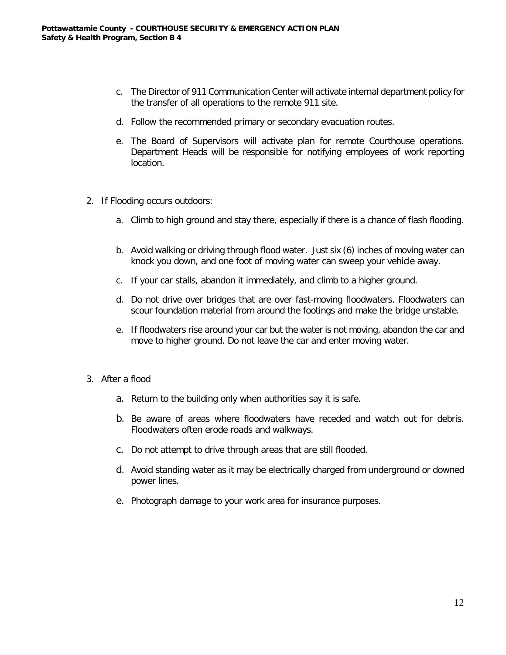- c. The Director of 911 Communication Center will activate internal department policy for the transfer of all operations to the remote 911 site.
- d. Follow the recommended primary or secondary evacuation routes.
- e. The Board of Supervisors will activate plan for remote Courthouse operations. Department Heads will be responsible for notifying employees of work reporting location.
- 2. If Flooding occurs outdoors:
	- a. Climb to high ground and stay there, especially if there is a chance of flash flooding.
	- b. Avoid walking or driving through flood water. Just six (6) inches of moving water can knock you down, and one foot of moving water can sweep your vehicle away.
	- c. If your car stalls, abandon it immediately, and climb to a higher ground.
	- d. Do not drive over bridges that are over fast-moving floodwaters. Floodwaters can scour foundation material from around the footings and make the bridge unstable.
	- e. If floodwaters rise around your car but the water is not moving, abandon the car and move to higher ground. Do not leave the car and enter moving water.
- 3. After a flood
	- a. Return to the building only when authorities say it is safe.
	- b. Be aware of areas where floodwaters have receded and watch out for debris. Floodwaters often erode roads and walkways.
	- c. Do not attempt to drive through areas that are still flooded.
	- d. Avoid standing water as it may be electrically charged from underground or downed power lines.
	- e. Photograph damage to your work area for insurance purposes.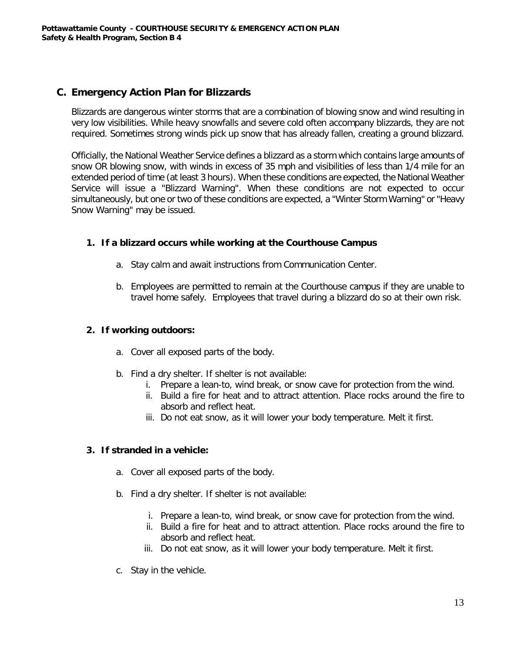# **C. Emergency Action Plan for Blizzards**

Blizzards are dangerous winter storms that are a combination of blowing snow and wind resulting in very low visibilities. While heavy snowfalls and severe cold often accompany blizzards, they are not required. Sometimes strong winds pick up snow that has already fallen, creating a ground blizzard.

Officially, the National Weather Service defines a blizzard as a storm which contains large amounts of snow OR blowing snow, with winds in excess of 35 mph and visibilities of less than 1/4 mile for an extended period of time (at least 3 hours). When these conditions are expected, the National Weather Service will issue a "Blizzard Warning". When these conditions are not expected to occur simultaneously, but one or two of these conditions are expected, a "Winter Storm Warning" or "Heavy Snow Warning" may be issued.

## **1. If a blizzard occurs while working at the Courthouse Campus**

- a. Stay calm and await instructions from Communication Center.
- b. Employees are permitted to remain at the Courthouse campus if they are unable to travel home safely. Employees that travel during a blizzard do so at their own risk.

### **2. If working outdoors:**

- a. Cover all exposed parts of the body.
- b. Find a dry shelter. If shelter is not available:
	- i. Prepare a lean-to, wind break, or snow cave for protection from the wind.
	- ii. Build a fire for heat and to attract attention. Place rocks around the fire to absorb and reflect heat.
	- iii. Do not eat snow, as it will lower your body temperature. Melt it first.

## **3. If stranded in a vehicle:**

- a. Cover all exposed parts of the body.
- b. Find a dry shelter. If shelter is not available:
	- i. Prepare a lean-to, wind break, or snow cave for protection from the wind.
	- ii. Build a fire for heat and to attract attention. Place rocks around the fire to absorb and reflect heat.
	- iii. Do not eat snow, as it will lower your body temperature. Melt it first.
- c. Stay in the vehicle.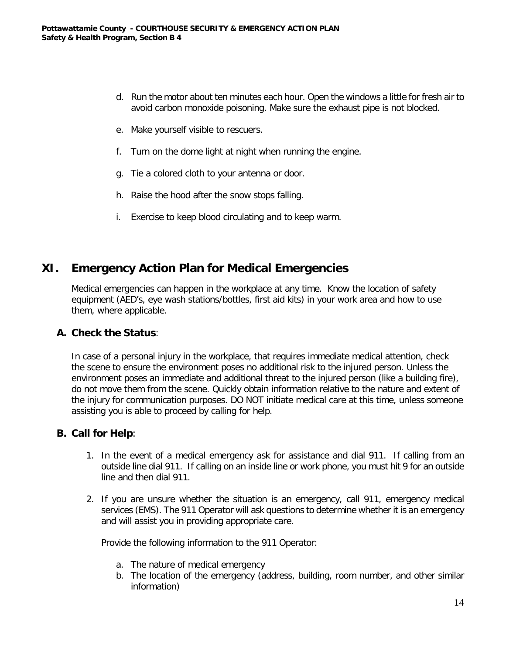- d. Run the motor about ten minutes each hour. Open the windows a little for fresh air to avoid carbon monoxide poisoning. Make sure the exhaust pipe is not blocked.
- e. Make yourself visible to rescuers.
- f. Turn on the dome light at night when running the engine.
- g. Tie a colored cloth to your antenna or door.
- h. Raise the hood after the snow stops falling.
- i. Exercise to keep blood circulating and to keep warm.

# **XI. Emergency Action Plan for Medical Emergencies**

Medical emergencies can happen in the workplace at any time. Know the location of safety equipment (AED's, eye wash stations/bottles, first aid kits) in your work area and how to use them, where applicable.

### **A. Check the Status**:

In case of a personal injury in the workplace, that requires immediate medical attention, check the scene to ensure the environment poses no additional risk to the injured person. Unless the environment poses an immediate and additional threat to the injured person (like a building fire), do not move them from the scene. Quickly obtain information relative to the nature and extent of the injury for communication purposes. DO NOT initiate medical care at this time, unless someone assisting you is able to proceed by calling for help.

### **B. Call for Help**:

- 1. In the event of a medical emergency ask for assistance and dial 911. If calling from an outside line dial 911. If calling on an inside line or work phone, you must hit 9 for an outside line and then dial 911.
- 2. If you are unsure whether the situation is an emergency, call 911, emergency medical services (EMS). The 911 Operator will ask questions to determine whether it is an emergency and will assist you in providing appropriate care.

Provide the following information to the 911 Operator:

- a. The nature of medical emergency
- b. The location of the emergency (address, building, room number, and other similar information)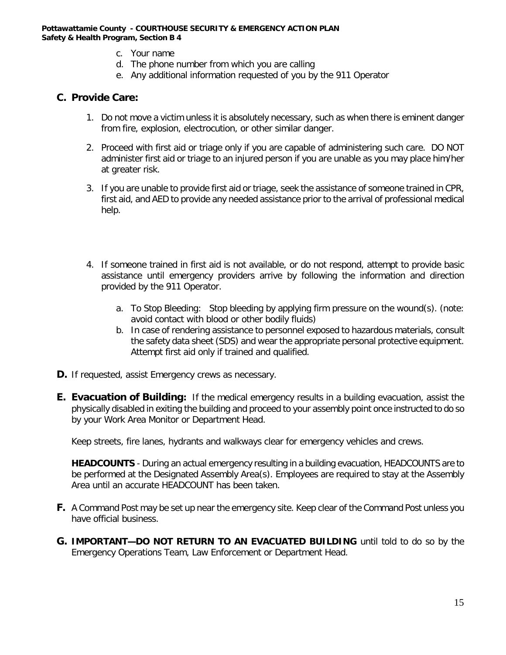- c. Your name
- d. The phone number from which you are calling
- e. Any additional information requested of you by the 911 Operator

## **C. Provide Care:**

- 1. Do not move a victim unless it is absolutely necessary, such as when there is eminent danger from fire, explosion, electrocution, or other similar danger.
- 2. Proceed with first aid or triage only if you are capable of administering such care. DO NOT administer first aid or triage to an injured person if you are unable as you may place him/her at greater risk.
- 3. If you are unable to provide first aid or triage, seek the assistance of someone trained in CPR, first aid, and AED to provide any needed assistance prior to the arrival of professional medical help.
- 4. If someone trained in first aid is not available, or do not respond, attempt to provide basic assistance until emergency providers arrive by following the information and direction provided by the 911 Operator.
	- a. To Stop Bleeding: Stop bleeding by applying firm pressure on the wound(s). (note: avoid contact with blood or other bodily fluids)
	- b. In case of rendering assistance to personnel exposed to hazardous materials, consult the safety data sheet (SDS) and wear the appropriate personal protective equipment. Attempt first aid only if trained and qualified.
- **D.** If requested, assist Emergency crews as necessary.
- **E. Evacuation of Building:** If the medical emergency results in a building evacuation, assist the physically disabled in exiting the building and proceed to your assembly point once instructed to do so by your Work Area Monitor or Department Head.

Keep streets, fire lanes, hydrants and walkways clear for emergency vehicles and crews.

**HEADCOUNTS** - During an actual emergency resulting in a building evacuation, HEADCOUNTS are to be performed at the Designated Assembly Area(s). Employees are required to stay at the Assembly Area until an accurate HEADCOUNT has been taken.

- **F.** A Command Post may be set up near the emergency site. Keep clear of the Command Post unless you have official business.
- **G. IMPORTANT—DO NOT RETURN TO AN EVACUATED BUILDING** until told to do so by the Emergency Operations Team, Law Enforcement or Department Head.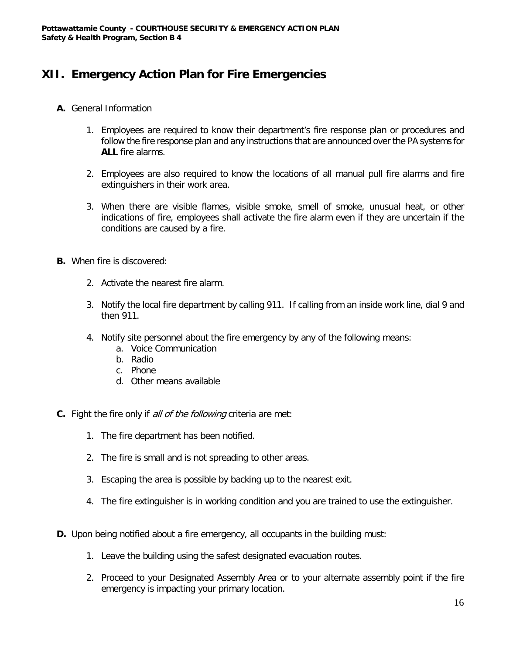# **XII. Emergency Action Plan for Fire Emergencies**

- **A.** General Information
	- 1. Employees are required to know their department's fire response plan or procedures and follow the fire response plan and any instructions that are announced over the PA systems for **ALL** fire alarms.
	- 2. Employees are also required to know the locations of all manual pull fire alarms and fire extinguishers in their work area.
	- 3. When there are visible flames, visible smoke, smell of smoke, unusual heat, or other indications of fire, employees shall activate the fire alarm even if they are uncertain if the conditions are caused by a fire.
- **B.** When fire is discovered:
	- 2. Activate the nearest fire alarm.
	- 3. Notify the local fire department by calling 911. If calling from an inside work line, dial 9 and then 911.
	- 4. Notify site personnel about the fire emergency by any of the following means:
		- a. Voice Communication
		- b. Radio
		- c. Phone
		- d. Other means available
- **C.** Fight the fire only if all of the following criteria are met:
	- 1. The fire department has been notified.
	- 2. The fire is small and is not spreading to other areas.
	- 3. Escaping the area is possible by backing up to the nearest exit.
	- 4. The fire extinguisher is in working condition and you are trained to use the extinguisher.
- **D.** Upon being notified about a fire emergency, all occupants in the building must:
	- 1. Leave the building using the safest designated evacuation routes.
	- 2. Proceed to your Designated Assembly Area or to your alternate assembly point if the fire emergency is impacting your primary location.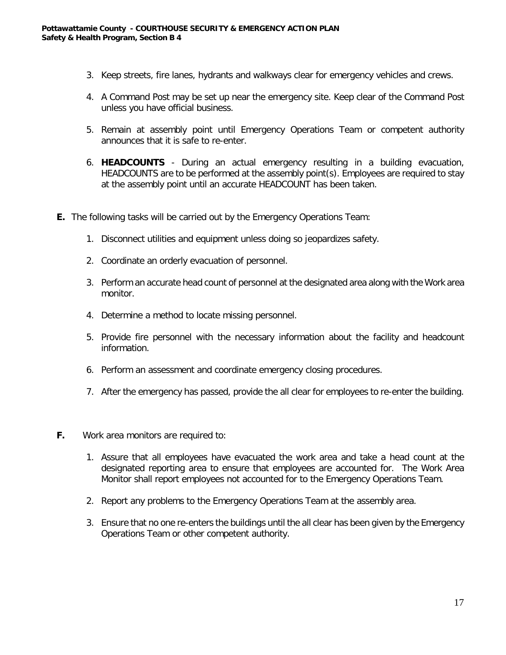- 3. Keep streets, fire lanes, hydrants and walkways clear for emergency vehicles and crews.
- 4. A Command Post may be set up near the emergency site. Keep clear of the Command Post unless you have official business.
- 5. Remain at assembly point until Emergency Operations Team or competent authority announces that it is safe to re-enter.
- 6. **HEADCOUNTS** During an actual emergency resulting in a building evacuation, HEADCOUNTS are to be performed at the assembly point(s). Employees are required to stay at the assembly point until an accurate HEADCOUNT has been taken.
- **E.** The following tasks will be carried out by the Emergency Operations Team:
	- 1. Disconnect utilities and equipment unless doing so jeopardizes safety.
	- 2. Coordinate an orderly evacuation of personnel.
	- 3. Perform an accurate head count of personnel at the designated area along with the Work area monitor.
	- 4. Determine a method to locate missing personnel.
	- 5. Provide fire personnel with the necessary information about the facility and headcount information.
	- 6. Perform an assessment and coordinate emergency closing procedures.
	- 7. After the emergency has passed, provide the all clear for employees to re-enter the building.
- **F.** Work area monitors are required to:
	- 1. Assure that all employees have evacuated the work area and take a head count at the designated reporting area to ensure that employees are accounted for. The Work Area Monitor shall report employees not accounted for to the Emergency Operations Team.
	- 2. Report any problems to the Emergency Operations Team at the assembly area.
	- 3. Ensure that no one re-enters the buildings until the all clear has been given by the Emergency Operations Team or other competent authority.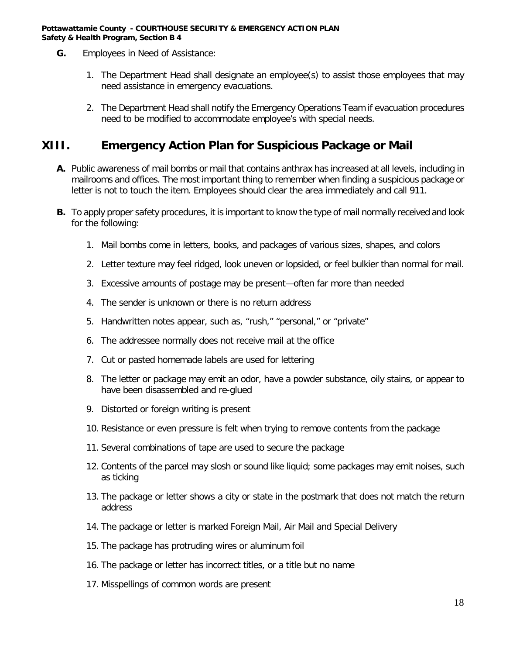- **G.** Employees in Need of Assistance:
	- 1. The Department Head shall designate an employee(s) to assist those employees that may need assistance in emergency evacuations.
	- 2. The Department Head shall notify the Emergency Operations Team if evacuation procedures need to be modified to accommodate employee's with special needs.

# **XIII. Emergency Action Plan for Suspicious Package or Mail**

- **A.** Public awareness of mail bombs or mail that contains anthrax has increased at all levels, including in mailrooms and offices. The most important thing to remember when finding a suspicious package or letter is not to touch the item. Employees should clear the area immediately and call 911.
- **B.** To apply proper safety procedures, it is important to know the type of mail normally received and look for the following:
	- 1. Mail bombs come in letters, books, and packages of various sizes, shapes, and colors
	- 2. Letter texture may feel ridged, look uneven or lopsided, or feel bulkier than normal for mail.
	- 3. Excessive amounts of postage may be present—often far more than needed
	- 4. The sender is unknown or there is no return address
	- 5. Handwritten notes appear, such as, "rush," "personal," or "private"
	- 6. The addressee normally does not receive mail at the office
	- 7. Cut or pasted homemade labels are used for lettering
	- 8. The letter or package may emit an odor, have a powder substance, oily stains, or appear to have been disassembled and re-glued
	- 9. Distorted or foreign writing is present
	- 10. Resistance or even pressure is felt when trying to remove contents from the package
	- 11. Several combinations of tape are used to secure the package
	- 12. Contents of the parcel may slosh or sound like liquid; some packages may emit noises, such as ticking
	- 13. The package or letter shows a city or state in the postmark that does not match the return address
	- 14. The package or letter is marked Foreign Mail, Air Mail and Special Delivery
	- 15. The package has protruding wires or aluminum foil
	- 16. The package or letter has incorrect titles, or a title but no name
	- 17. Misspellings of common words are present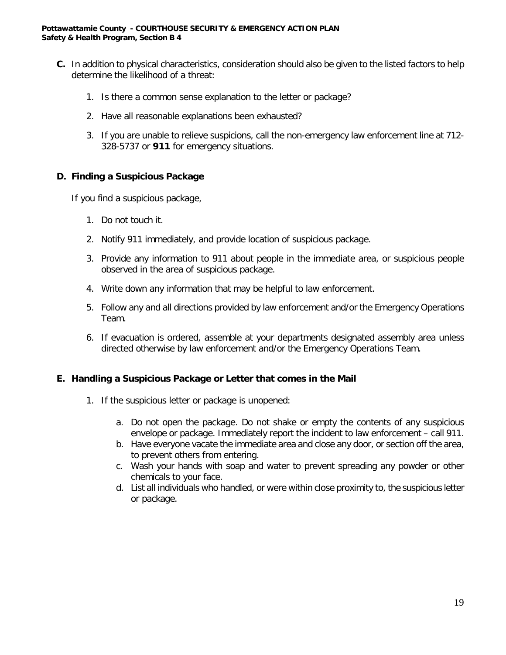- **C.** In addition to physical characteristics, consideration should also be given to the listed factors to help determine the likelihood of a threat:
	- 1. Is there a common sense explanation to the letter or package?
	- 2. Have all reasonable explanations been exhausted?
	- 3. If you are unable to relieve suspicions, call the non-emergency law enforcement line at 712- 328-5737 or **911** for emergency situations.

### **D. Finding a Suspicious Package**

If you find a suspicious package,

- 1. Do not touch it.
- 2. Notify 911 immediately, and provide location of suspicious package.
- 3. Provide any information to 911 about people in the immediate area, or suspicious people observed in the area of suspicious package.
- 4. Write down any information that may be helpful to law enforcement.
- 5. Follow any and all directions provided by law enforcement and/or the Emergency Operations Team.
- 6. If evacuation is ordered, assemble at your departments designated assembly area unless directed otherwise by law enforcement and/or the Emergency Operations Team.

### **E. Handling a Suspicious Package or Letter that comes in the Mail**

- 1. If the suspicious letter or package is unopened:
	- a. Do not open the package. Do not shake or empty the contents of any suspicious envelope or package. Immediately report the incident to law enforcement – call 911.
	- b. Have everyone vacate the immediate area and close any door, or section off the area, to prevent others from entering.
	- c. Wash your hands with soap and water to prevent spreading any powder or other chemicals to your face.
	- d. List all individuals who handled, or were within close proximity to, the suspicious letter or package.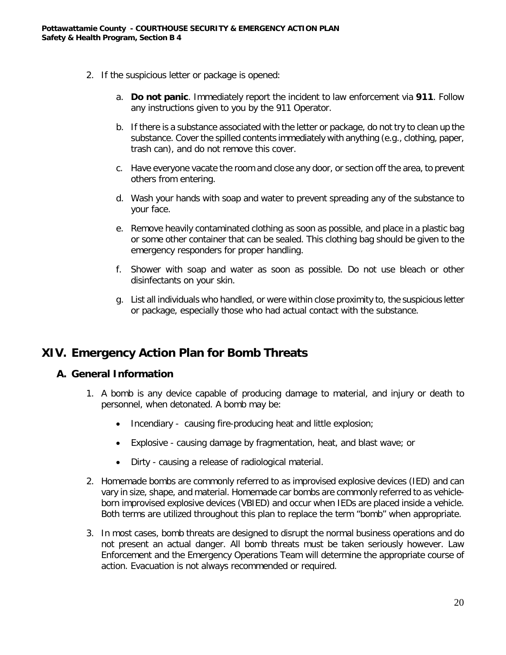- 2. If the suspicious letter or package is opened:
	- a. **Do not panic**. Immediately report the incident to law enforcement via **911**. Follow any instructions given to you by the 911 Operator.
	- b. If there is a substance associated with the letter or package, do not try to clean up the substance. Cover the spilled contents immediately with anything (e.g., clothing, paper, trash can), and do not remove this cover.
	- c. Have everyone vacate the room and close any door, or section off the area, to prevent others from entering.
	- d. Wash your hands with soap and water to prevent spreading any of the substance to your face.
	- e. Remove heavily contaminated clothing as soon as possible, and place in a plastic bag or some other container that can be sealed. This clothing bag should be given to the emergency responders for proper handling.
	- f. Shower with soap and water as soon as possible. Do not use bleach or other disinfectants on your skin.
	- g. List all individuals who handled, or were within close proximity to, the suspicious letter or package, especially those who had actual contact with the substance.

# **XIV. Emergency Action Plan for Bomb Threats**

# **A. General Information**

- 1. A bomb is any device capable of producing damage to material, and injury or death to personnel, when detonated. A bomb may be:
	- Incendiary causing fire-producing heat and little explosion;
	- Explosive causing damage by fragmentation, heat, and blast wave; or
	- Dirty causing a release of radiological material.
- 2. Homemade bombs are commonly referred to as improvised explosive devices (IED) and can vary in size, shape, and material. Homemade car bombs are commonly referred to as vehicleborn improvised explosive devices (VBIED) and occur when IEDs are placed inside a vehicle. Both terms are utilized throughout this plan to replace the term "bomb" when appropriate.
- 3. In most cases, bomb threats are designed to disrupt the normal business operations and do not present an actual danger. All bomb threats must be taken seriously however. Law Enforcement and the Emergency Operations Team will determine the appropriate course of action. Evacuation is not always recommended or required.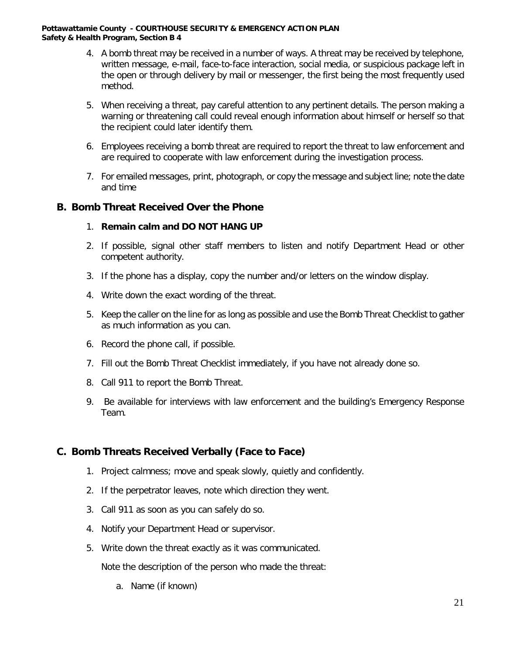- 4. A bomb threat may be received in a number of ways. A threat may be received by telephone, written message, e-mail, face-to-face interaction, social media, or suspicious package left in the open or through delivery by mail or messenger, the first being the most frequently used method.
- 5. When receiving a threat, pay careful attention to any pertinent details. The person making a warning or threatening call could reveal enough information about himself or herself so that the recipient could later identify them.
- 6. Employees receiving a bomb threat are required to report the threat to law enforcement and are required to cooperate with law enforcement during the investigation process.
- 7. For emailed messages, print, photograph, or copy the message and subject line; note the date and time

# **B. Bomb Threat Received Over the Phone**

- 1. **Remain calm and DO NOT HANG UP**
- 2. If possible, signal other staff members to listen and notify Department Head or other competent authority.
- 3. If the phone has a display, copy the number and/or letters on the window display.
- 4. Write down the exact wording of the threat.
- 5. Keep the caller on the line for as long as possible and use the Bomb Threat Checklist to gather as much information as you can.
- 6. Record the phone call, if possible.
- 7. Fill out the Bomb Threat Checklist immediately, if you have not already done so.
- 8. Call 911 to report the Bomb Threat.
- 9. Be available for interviews with law enforcement and the building's Emergency Response Team.

# **C. Bomb Threats Received Verbally (Face to Face)**

- 1. Project calmness; move and speak slowly, quietly and confidently.
- 2. If the perpetrator leaves, note which direction they went.
- 3. Call 911 as soon as you can safely do so.
- 4. Notify your Department Head or supervisor.
- 5. Write down the threat exactly as it was communicated.

Note the description of the person who made the threat:

a. Name (if known)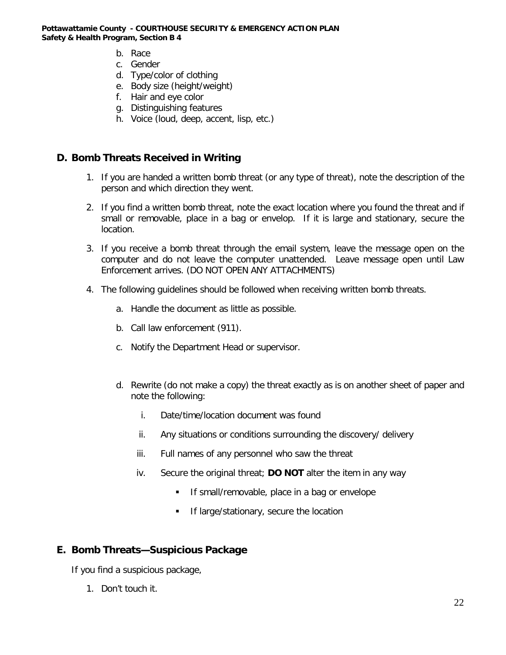- b. Race
- c. Gender
- d. Type/color of clothing
- e. Body size (height/weight)
- f. Hair and eye color
- g. Distinguishing features
- h. Voice (loud, deep, accent, lisp, etc.)

## **D. Bomb Threats Received in Writing**

- 1. If you are handed a written bomb threat (or any type of threat), note the description of the person and which direction they went.
- 2. If you find a written bomb threat, note the exact location where you found the threat and if small or removable, place in a bag or envelop. If it is large and stationary, secure the location.
- 3. If you receive a bomb threat through the email system, leave the message open on the computer and do not leave the computer unattended. Leave message open until Law Enforcement arrives. (DO NOT OPEN ANY ATTACHMENTS)
- 4. The following guidelines should be followed when receiving written bomb threats.
	- a. Handle the document as little as possible.
	- b. Call law enforcement (911).
	- c. Notify the Department Head or supervisor.
	- d. Rewrite (do not make a copy) the threat exactly as is on another sheet of paper and note the following:
		- i. Date/time/location document was found
		- ii. Any situations or conditions surrounding the discovery/ delivery
		- iii. Full names of any personnel who saw the threat
		- iv. Secure the original threat; **DO NOT** alter the item in any way
			- If small/removable, place in a bag or envelope
			- **If large/stationary, secure the location**

### **E. Bomb Threats—Suspicious Package**

If you find a suspicious package,

1. Don't touch it.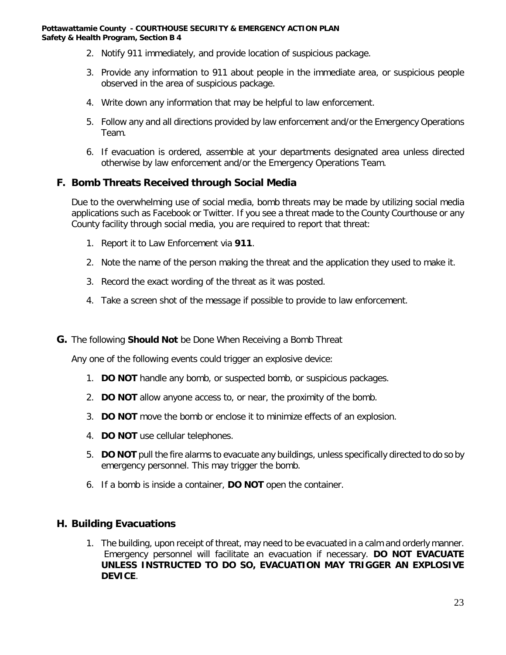- 2. Notify 911 immediately, and provide location of suspicious package.
- 3. Provide any information to 911 about people in the immediate area, or suspicious people observed in the area of suspicious package.
- 4. Write down any information that may be helpful to law enforcement.
- 5. Follow any and all directions provided by law enforcement and/or the Emergency Operations Team.
- 6. If evacuation is ordered, assemble at your departments designated area unless directed otherwise by law enforcement and/or the Emergency Operations Team.

### **F. Bomb Threats Received through Social Media**

Due to the overwhelming use of social media, bomb threats may be made by utilizing social media applications such as Facebook or Twitter. If you see a threat made to the County Courthouse or any County facility through social media, you are required to report that threat:

- 1. Report it to Law Enforcement via **911**.
- 2. Note the name of the person making the threat and the application they used to make it.
- 3. Record the exact wording of the threat as it was posted.
- 4. Take a screen shot of the message if possible to provide to law enforcement.

#### **G.** The following **Should Not** be Done When Receiving a Bomb Threat

Any one of the following events could trigger an explosive device:

- 1. **DO NOT** handle any bomb, or suspected bomb, or suspicious packages.
- 2. **DO NOT** allow anyone access to, or near, the proximity of the bomb.
- 3. **DO NOT** move the bomb or enclose it to minimize effects of an explosion.
- 4. **DO NOT** use cellular telephones.
- 5. **DO NOT** pull the fire alarms to evacuate any buildings, unless specifically directed to do so by emergency personnel. This may trigger the bomb.
- 6. If a bomb is inside a container, **DO NOT** open the container.

#### **H. Building Evacuations**

1. The building, upon receipt of threat, may need to be evacuated in a calm and orderly manner. Emergency personnel will facilitate an evacuation if necessary. **DO NOT EVACUATE UNLESS INSTRUCTED TO DO SO, EVACUATION MAY TRIGGER AN EXPLOSIVE DEVICE**.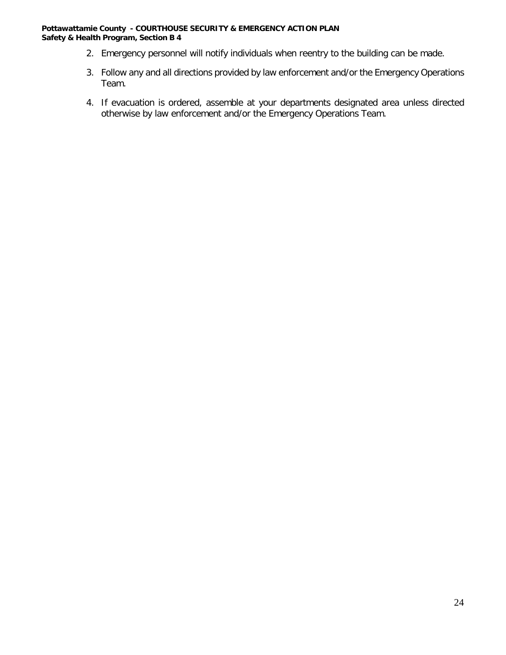- 2. Emergency personnel will notify individuals when reentry to the building can be made.
- 3. Follow any and all directions provided by law enforcement and/or the Emergency Operations Team.
- 4. If evacuation is ordered, assemble at your departments designated area unless directed otherwise by law enforcement and/or the Emergency Operations Team.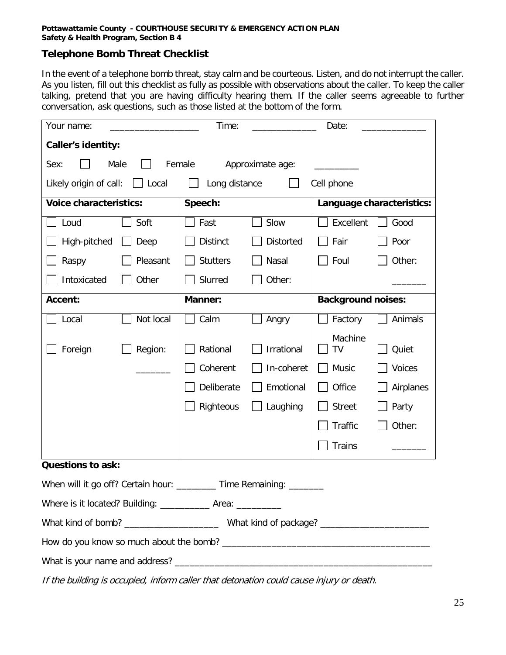# **Telephone Bomb Threat Checklist**

In the event of a telephone bomb threat, stay calm and be courteous. Listen, and do not interrupt the caller. As you listen, fill out this checklist as fully as possible with observations about the caller. To keep the caller talking, pretend that you are having difficulty hearing them. If the caller seems agreeable to further conversation, ask questions, such as those listed at the bottom of the form.

| Time:<br>Date:<br>Your name:                                    |           |                 |                  |                           |           |  |
|-----------------------------------------------------------------|-----------|-----------------|------------------|---------------------------|-----------|--|
| Caller's identity:                                              |           |                 |                  |                           |           |  |
| Male<br>Female<br>Sex:<br>Approximate age:                      |           |                 |                  |                           |           |  |
| Likely origin of call:<br>Long distance<br>Local<br>Cell phone  |           |                 |                  |                           |           |  |
| <b>Voice characteristics:</b>                                   |           | Speech:         |                  | Language characteristics: |           |  |
| Loud                                                            | Soft      | Fast            | Slow             | Excellent                 | Good      |  |
| High-pitched                                                    | Deep      | <b>Distinct</b> | <b>Distorted</b> | Fair                      | Poor      |  |
| Raspy                                                           | Pleasant  | <b>Stutters</b> | Nasal            | Foul                      | Other:    |  |
| Intoxicated                                                     | Other     | Slurred         | Other:           |                           |           |  |
| <b>Accent:</b>                                                  |           | Manner:         |                  | <b>Background noises:</b> |           |  |
| Local                                                           | Not local | Calm            | Angry            | Factory                   | Animals   |  |
| Foreign                                                         | Region:   | Rational        | Irrational       | Machine<br>TV             | Quiet     |  |
|                                                                 |           | Coherent        | In-coheret       | Music                     | Voices    |  |
|                                                                 |           | Deliberate      | Emotional        | Office                    | Airplanes |  |
|                                                                 |           | Righteous       | Laughing         | <b>Street</b>             | Party     |  |
|                                                                 |           |                 |                  | Traffic                   | Other:    |  |
|                                                                 |           |                 |                  | <b>Trains</b>             |           |  |
| <b>Questions to ask:</b>                                        |           |                 |                  |                           |           |  |
| When will it go off? Certain hour:<br>Time Remaining:           |           |                 |                  |                           |           |  |
| Where is it located? Building: ______________ Area: ___________ |           |                 |                  |                           |           |  |
|                                                                 |           |                 |                  |                           |           |  |
|                                                                 |           |                 |                  |                           |           |  |
|                                                                 |           |                 |                  |                           |           |  |

If the building is occupied, inform caller that detonation could cause injury or death.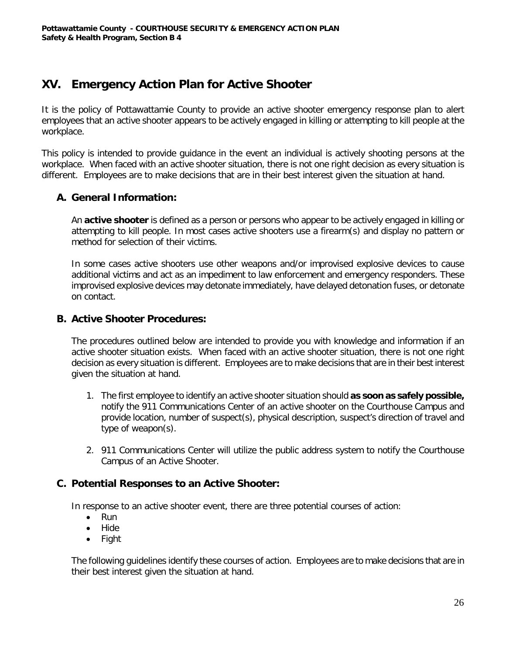# **XV. Emergency Action Plan for Active Shooter**

It is the policy of Pottawattamie County to provide an active shooter emergency response plan to alert employees that an active shooter appears to be actively engaged in killing or attempting to kill people at the workplace.

This policy is intended to provide guidance in the event an individual is actively shooting persons at the workplace. When faced with an active shooter situation, there is not one right decision as every situation is different. Employees are to make decisions that are in their best interest given the situation at hand.

# **A. General Information:**

An **active shooter** is defined as a person or persons who appear to be actively engaged in killing or attempting to kill people. In most cases active shooters use a firearm(s) and display no pattern or method for selection of their victims.

In some cases active shooters use other weapons and/or improvised explosive devices to cause additional victims and act as an impediment to law enforcement and emergency responders. These improvised explosive devices may detonate immediately, have delayed detonation fuses, or detonate on contact.

# **B. Active Shooter Procedures:**

The procedures outlined below are intended to provide you with knowledge and information if an active shooter situation exists. When faced with an active shooter situation, there is not one right decision as every situation is different. Employees are to make decisions that are in their best interest given the situation at hand.

- 1. The first employee to identify an active shooter situation should **as soon as safely possible,** notify the 911 Communications Center of an active shooter on the Courthouse Campus and provide location, number of suspect(s), physical description, suspect's direction of travel and type of weapon(s).
- 2. 911 Communications Center will utilize the public address system to notify the Courthouse Campus of an Active Shooter.

# **C. Potential Responses to an Active Shooter:**

In response to an active shooter event, there are three potential courses of action:

- Run
- Hide
- Fight

The following guidelines identify these courses of action. Employees are to make decisions that are in their best interest given the situation at hand.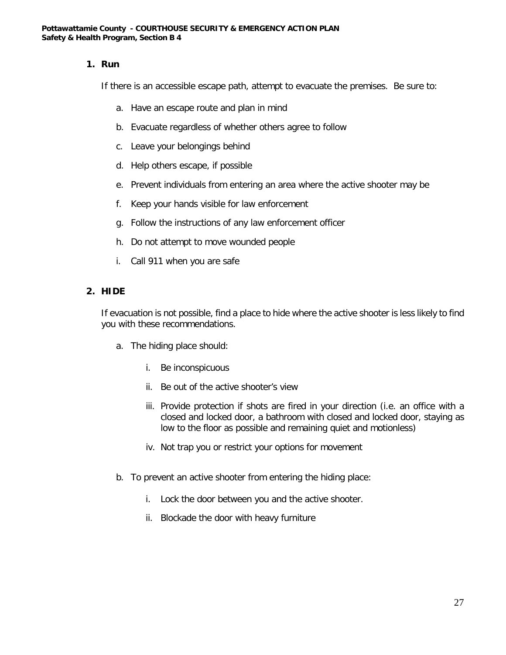#### **1. Run**

If there is an accessible escape path, attempt to evacuate the premises. Be sure to:

- a. Have an escape route and plan in mind
- b. Evacuate regardless of whether others agree to follow
- c. Leave your belongings behind
- d. Help others escape, if possible
- e. Prevent individuals from entering an area where the active shooter may be
- f. Keep your hands visible for law enforcement
- g. Follow the instructions of any law enforcement officer
- h. Do not attempt to move wounded people
- i. Call 911 when you are safe

### **2. HIDE**

If evacuation is not possible, find a place to hide where the active shooter is less likely to find you with these recommendations.

- a. The hiding place should:
	- i. Be inconspicuous
	- ii. Be out of the active shooter's view
	- iii. Provide protection if shots are fired in your direction (i.e. an office with a closed and locked door, a bathroom with closed and locked door, staying as low to the floor as possible and remaining quiet and motionless)
	- iv. Not trap you or restrict your options for movement
- b. To prevent an active shooter from entering the hiding place:
	- i. Lock the door between you and the active shooter.
	- ii. Blockade the door with heavy furniture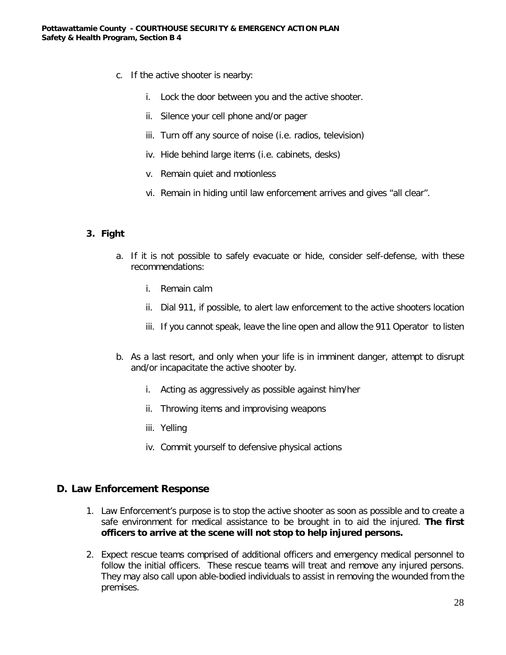- c. If the active shooter is nearby:
	- i. Lock the door between you and the active shooter.
	- ii. Silence your cell phone and/or pager
	- iii. Turn off any source of noise (i.e. radios, television)
	- iv. Hide behind large items (i.e. cabinets, desks)
	- v. Remain quiet and motionless
	- vi. Remain in hiding until law enforcement arrives and gives "all clear".

### **3. Fight**

- a. If it is not possible to safely evacuate or hide, consider self-defense, with these recommendations:
	- i. Remain calm
	- ii. Dial 911, if possible, to alert law enforcement to the active shooters location
	- iii. If you cannot speak, leave the line open and allow the 911 Operator to listen
- b. As a last resort, and only when your life is in imminent danger, attempt to disrupt and/or incapacitate the active shooter by.
	- i. Acting as aggressively as possible against him/her
	- ii. Throwing items and improvising weapons
	- iii. Yelling
	- iv. Commit yourself to defensive physical actions

### **D. Law Enforcement Response**

- 1. Law Enforcement's purpose is to stop the active shooter as soon as possible and to create a safe environment for medical assistance to be brought in to aid the injured. **The first officers to arrive at the scene will not stop to help injured persons.**
- 2. Expect rescue teams comprised of additional officers and emergency medical personnel to follow the initial officers. These rescue teams will treat and remove any injured persons. They may also call upon able-bodied individuals to assist in removing the wounded from the premises.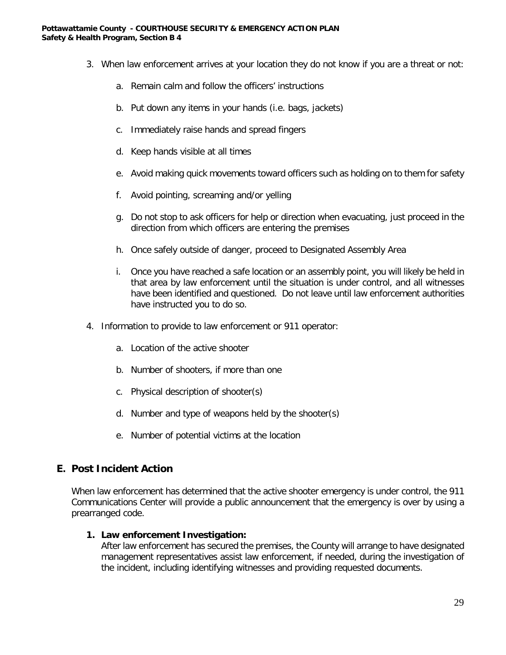- 3. When law enforcement arrives at your location they do not know if you are a threat or not:
	- a. Remain calm and follow the officers' instructions
	- b. Put down any items in your hands (i.e. bags, jackets)
	- c. Immediately raise hands and spread fingers
	- d. Keep hands visible at all times
	- e. Avoid making quick movements toward officers such as holding on to them for safety
	- f. Avoid pointing, screaming and/or yelling
	- g. Do not stop to ask officers for help or direction when evacuating, just proceed in the direction from which officers are entering the premises
	- h. Once safely outside of danger, proceed to Designated Assembly Area
	- i. Once you have reached a safe location or an assembly point, you will likely be held in that area by law enforcement until the situation is under control, and all witnesses have been identified and questioned. Do not leave until law enforcement authorities have instructed you to do so.
- 4. Information to provide to law enforcement or 911 operator:
	- a. Location of the active shooter
	- b. Number of shooters, if more than one
	- c. Physical description of shooter(s)
	- d. Number and type of weapons held by the shooter(s)
	- e. Number of potential victims at the location

# **E. Post Incident Action**

When law enforcement has determined that the active shooter emergency is under control, the 911 Communications Center will provide a public announcement that the emergency is over by using a prearranged code.

#### **1. Law enforcement Investigation:**

After law enforcement has secured the premises, the County will arrange to have designated management representatives assist law enforcement, if needed, during the investigation of the incident, including identifying witnesses and providing requested documents.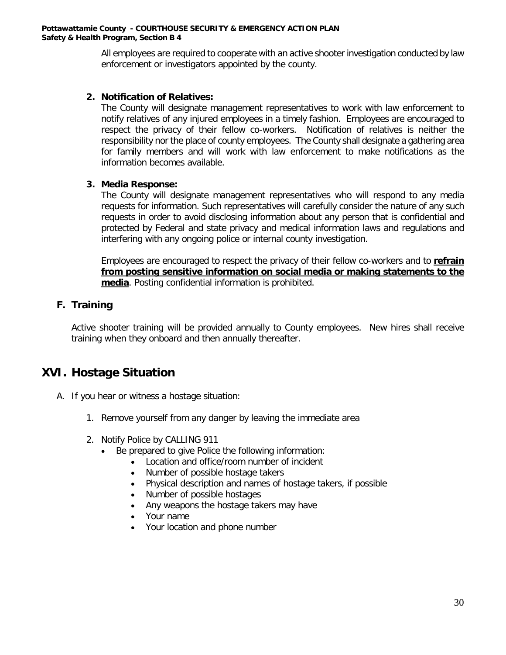All employees are required to cooperate with an active shooter investigation conducted by law enforcement or investigators appointed by the county.

### **2. Notification of Relatives:**

The County will designate management representatives to work with law enforcement to notify relatives of any injured employees in a timely fashion. Employees are encouraged to respect the privacy of their fellow co-workers. Notification of relatives is neither the responsibility nor the place of county employees. The County shall designate a gathering area for family members and will work with law enforcement to make notifications as the information becomes available.

#### **3. Media Response:**

The County will designate management representatives who will respond to any media requests for information. Such representatives will carefully consider the nature of any such requests in order to avoid disclosing information about any person that is confidential and protected by Federal and state privacy and medical information laws and regulations and interfering with any ongoing police or internal county investigation.

Employees are encouraged to respect the privacy of their fellow co-workers and to **refrain from posting sensitive information on social media or making statements to the media**. Posting confidential information is prohibited.

# **F. Training**

Active shooter training will be provided annually to County employees. New hires shall receive training when they onboard and then annually thereafter.

# **XVI. Hostage Situation**

- A. If you hear or witness a hostage situation:
	- 1. Remove yourself from any danger by leaving the immediate area
	- 2. Notify Police by CALLING 911
		- Be prepared to give Police the following information:
			- Location and office/room number of incident
			- Number of possible hostage takers
			- Physical description and names of hostage takers, if possible
			- Number of possible hostages
			- Any weapons the hostage takers may have
			- Your name
			- Your location and phone number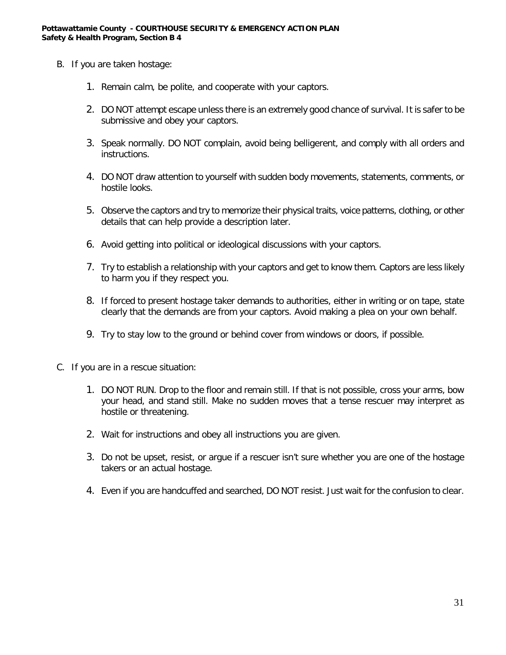- B. If you are taken hostage:
	- 1. Remain calm, be polite, and cooperate with your captors.
	- 2. DO NOT attempt escape unless there is an extremely good chance of survival. It is safer to be submissive and obey your captors.
	- 3. Speak normally. DO NOT complain, avoid being belligerent, and comply with all orders and instructions.
	- 4. DO NOT draw attention to yourself with sudden body movements, statements, comments, or hostile looks.
	- 5. Observe the captors and try to memorize their physical traits, voice patterns, clothing, or other details that can help provide a description later.
	- 6. Avoid getting into political or ideological discussions with your captors.
	- 7. Try to establish a relationship with your captors and get to know them. Captors are less likely to harm you if they respect you.
	- 8. If forced to present hostage taker demands to authorities, either in writing or on tape, state clearly that the demands are from your captors. Avoid making a plea on your own behalf.
	- 9. Try to stay low to the ground or behind cover from windows or doors, if possible.
- C. If you are in a rescue situation:
	- 1. DO NOT RUN. Drop to the floor and remain still. If that is not possible, cross your arms, bow your head, and stand still. Make no sudden moves that a tense rescuer may interpret as hostile or threatening.
	- 2. Wait for instructions and obey all instructions you are given.
	- 3. Do not be upset, resist, or argue if a rescuer isn't sure whether you are one of the hostage takers or an actual hostage.
	- 4. Even if you are handcuffed and searched, DO NOT resist. Just wait for the confusion to clear.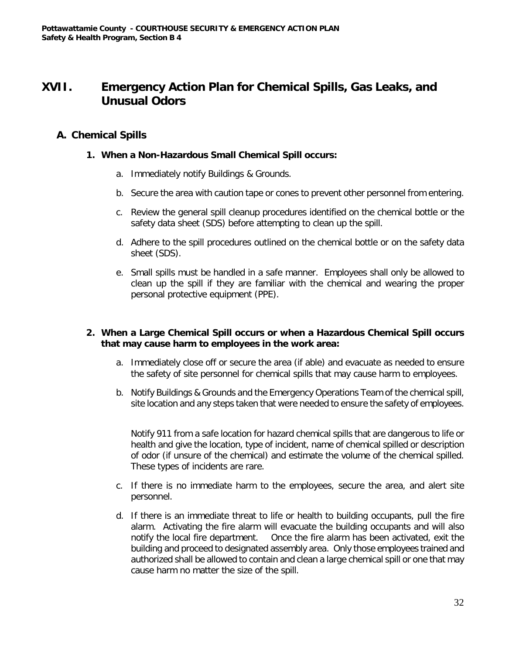# **XVII. Emergency Action Plan for Chemical Spills, Gas Leaks, and Unusual Odors**

# **A. Chemical Spills**

- **1. When a Non-Hazardous Small Chemical Spill occurs:**
	- a. Immediately notify Buildings & Grounds.
	- b. Secure the area with caution tape or cones to prevent other personnel from entering.
	- c. Review the general spill cleanup procedures identified on the chemical bottle or the safety data sheet (SDS) before attempting to clean up the spill.
	- d. Adhere to the spill procedures outlined on the chemical bottle or on the safety data sheet (SDS).
	- e. Small spills must be handled in a safe manner. Employees shall only be allowed to clean up the spill if they are familiar with the chemical and wearing the proper personal protective equipment (PPE).

### **2. When a Large Chemical Spill occurs or when a Hazardous Chemical Spill occurs that may cause harm to employees in the work area:**

- a. Immediately close off or secure the area (if able) and evacuate as needed to ensure the safety of site personnel for chemical spills that may cause harm to employees.
- b. Notify Buildings & Grounds and the Emergency Operations Team of the chemical spill, site location and any steps taken that were needed to ensure the safety of employees.

Notify 911 from a safe location for hazard chemical spills that are dangerous to life or health and give the location, type of incident, name of chemical spilled or description of odor (if unsure of the chemical) and estimate the volume of the chemical spilled. These types of incidents are rare.

- c. If there is no immediate harm to the employees, secure the area, and alert site personnel.
- d. If there is an immediate threat to life or health to building occupants, pull the fire alarm. Activating the fire alarm will evacuate the building occupants and will also notify the local fire department. Once the fire alarm has been activated, exit the building and proceed to designated assembly area. Only those employees trained and authorized shall be allowed to contain and clean a large chemical spill or one that may cause harm no matter the size of the spill.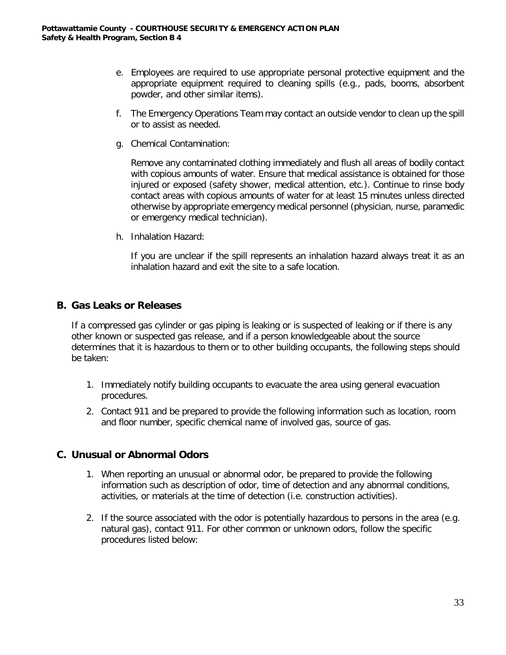- e. Employees are required to use appropriate personal protective equipment and the appropriate equipment required to cleaning spills (e.g., pads, booms, absorbent powder, and other similar items).
- f. The Emergency Operations Team may contact an outside vendor to clean up the spill or to assist as needed.
- g. Chemical Contamination:

Remove any contaminated clothing immediately and flush all areas of bodily contact with copious amounts of water. Ensure that medical assistance is obtained for those injured or exposed (safety shower, medical attention, etc.). Continue to rinse body contact areas with copious amounts of water for at least 15 minutes unless directed otherwise by appropriate emergency medical personnel (physician, nurse, paramedic or emergency medical technician).

h. Inhalation Hazard:

If you are unclear if the spill represents an inhalation hazard always treat it as an inhalation hazard and exit the site to a safe location.

### **B. Gas Leaks or Releases**

If a compressed gas cylinder or gas piping is leaking or is suspected of leaking or if there is any other known or suspected gas release, and if a person knowledgeable about the source determines that it is hazardous to them or to other building occupants, the following steps should be taken:

- 1. Immediately notify building occupants to evacuate the area using general evacuation procedures.
- 2. Contact 911 and be prepared to provide the following information such as location, room and floor number, specific chemical name of involved gas, source of gas.

### **C. Unusual or Abnormal Odors**

- 1. When reporting an unusual or abnormal odor, be prepared to provide the following information such as description of odor, time of detection and any abnormal conditions, activities, or materials at the time of detection (i.e. construction activities).
- 2. If the source associated with the odor is potentially hazardous to persons in the area (e.g. natural gas), contact 911. For other common or unknown odors, follow the specific procedures listed below: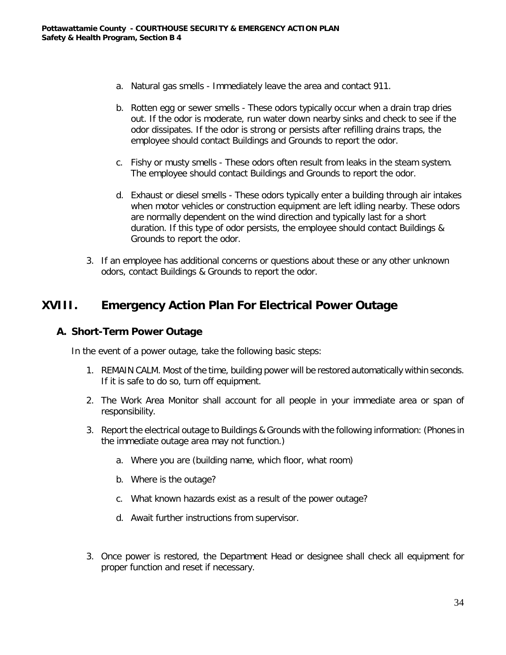- a. Natural gas smells Immediately leave the area and contact 911.
- b. Rotten egg or sewer smells These odors typically occur when a drain trap dries out. If the odor is moderate, run water down nearby sinks and check to see if the odor dissipates. If the odor is strong or persists after refilling drains traps, the employee should contact Buildings and Grounds to report the odor.
- c. Fishy or musty smells These odors often result from leaks in the steam system. The employee should contact Buildings and Grounds to report the odor.
- d. Exhaust or diesel smells These odors typically enter a building through air intakes when motor vehicles or construction equipment are left idling nearby. These odors are normally dependent on the wind direction and typically last for a short duration. If this type of odor persists, the employee should contact Buildings & Grounds to report the odor.
- 3. If an employee has additional concerns or questions about these or any other unknown odors, contact Buildings & Grounds to report the odor.

# **XVIII. Emergency Action Plan For Electrical Power Outage**

# **A. Short-Term Power Outage**

In the event of a power outage, take the following basic steps:

- 1. REMAIN CALM. Most of the time, building power will be restored automatically within seconds. If it is safe to do so, turn off equipment.
- 2. The Work Area Monitor shall account for all people in your immediate area or span of responsibility.
- 3. Report the electrical outage to Buildings & Grounds with the following information: (Phones in the immediate outage area may not function.)
	- a. Where you are (building name, which floor, what room)
	- b. Where is the outage?
	- c. What known hazards exist as a result of the power outage?
	- d. Await further instructions from supervisor.
- 3. Once power is restored, the Department Head or designee shall check all equipment for proper function and reset if necessary.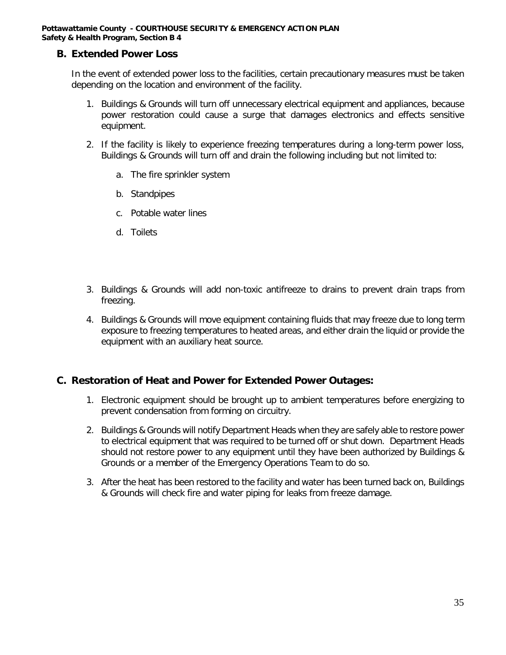## **B. Extended Power Loss**

In the event of extended power loss to the facilities, certain precautionary measures must be taken depending on the location and environment of the facility.

- 1. Buildings & Grounds will turn off unnecessary electrical equipment and appliances, because power restoration could cause a surge that damages electronics and effects sensitive equipment.
- 2. If the facility is likely to experience freezing temperatures during a long-term power loss, Buildings & Grounds will turn off and drain the following including but not limited to:
	- a. The fire sprinkler system
	- b. Standpipes
	- c. Potable water lines
	- d. Toilets
- 3. Buildings & Grounds will add non-toxic antifreeze to drains to prevent drain traps from freezing.
- 4. Buildings & Grounds will move equipment containing fluids that may freeze due to long term exposure to freezing temperatures to heated areas, and either drain the liquid or provide the equipment with an auxiliary heat source.

### **C. Restoration of Heat and Power for Extended Power Outages:**

- 1. Electronic equipment should be brought up to ambient temperatures before energizing to prevent condensation from forming on circuitry.
- 2. Buildings & Grounds will notify Department Heads when they are safely able to restore power to electrical equipment that was required to be turned off or shut down. Department Heads should not restore power to any equipment until they have been authorized by Buildings & Grounds or a member of the Emergency Operations Team to do so.
- 3. After the heat has been restored to the facility and water has been turned back on, Buildings & Grounds will check fire and water piping for leaks from freeze damage.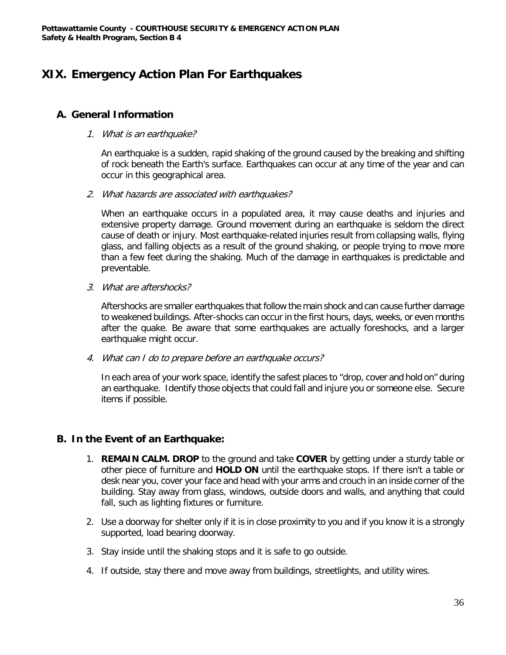# **XIX. Emergency Action Plan For Earthquakes**

## **A. General Information**

#### 1. What is an earthquake?

An earthquake is a sudden, rapid shaking of the ground caused by the breaking and shifting of rock beneath the Earth's surface. Earthquakes can occur at any time of the year and can occur in this geographical area.

2. What hazards are associated with earthquakes?

When an earthquake occurs in a populated area, it may cause deaths and injuries and extensive property damage. Ground movement during an earthquake is seldom the direct cause of death or injury. Most earthquake-related injuries result from collapsing walls, flying glass, and falling objects as a result of the ground shaking, or people trying to move more than a few feet during the shaking. Much of the damage in earthquakes is predictable and preventable.

3. What are aftershocks?

Aftershocks are smaller earthquakes that follow the main shock and can cause further damage to weakened buildings. After-shocks can occur in the first hours, days, weeks, or even months after the quake. Be aware that some earthquakes are actually foreshocks, and a larger earthquake might occur.

4. What can I do to prepare before an earthquake occurs?

In each area of your work space, identify the safest places to "drop, cover and hold on" during an earthquake. Identify those objects that could fall and injure you or someone else. Secure items if possible.

# **B. In the Event of an Earthquake:**

- 1. **REMAIN CALM. DROP** to the ground and take **COVER** by getting under a sturdy table or other piece of furniture and **HOLD ON** until the earthquake stops. If there isn't a table or desk near you, cover your face and head with your arms and crouch in an inside corner of the building. Stay away from glass, windows, outside doors and walls, and anything that could fall, such as lighting fixtures or furniture.
- 2. Use a doorway for shelter only if it is in close proximity to you and if you know it is a strongly supported, load bearing doorway.
- 3. Stay inside until the shaking stops and it is safe to go outside.
- 4. If outside, stay there and move away from buildings, streetlights, and utility wires.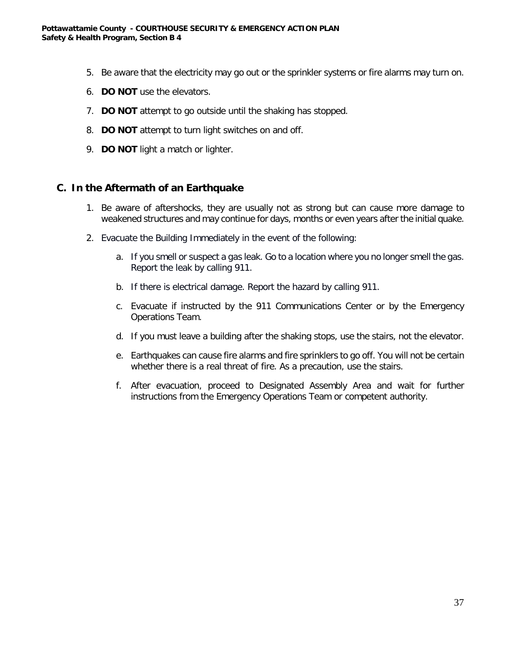- 5. Be aware that the electricity may go out or the sprinkler systems or fire alarms may turn on.
- 6. **DO NOT** use the elevators.
- 7. **DO NOT** attempt to go outside until the shaking has stopped.
- 8. **DO NOT** attempt to turn light switches on and off.
- 9. **DO NOT** light a match or lighter.

## **C. In the Aftermath of an Earthquake**

- 1. Be aware of aftershocks, they are usually not as strong but can cause more damage to weakened structures and may continue for days, months or even years after the initial quake.
- 2. Evacuate the Building Immediately in the event of the following:
	- a. If you smell or suspect a gas leak. Go to a location where you no longer smell the gas. Report the leak by calling 911.
	- b. If there is electrical damage. Report the hazard by calling 911.
	- c. Evacuate if instructed by the 911 Communications Center or by the Emergency Operations Team.
	- d. If you must leave a building after the shaking stops, use the stairs, not the elevator.
	- e. Earthquakes can cause fire alarms and fire sprinklers to go off. You will not be certain whether there is a real threat of fire. As a precaution, use the stairs.
	- f. After evacuation, proceed to Designated Assembly Area and wait for further instructions from the Emergency Operations Team or competent authority.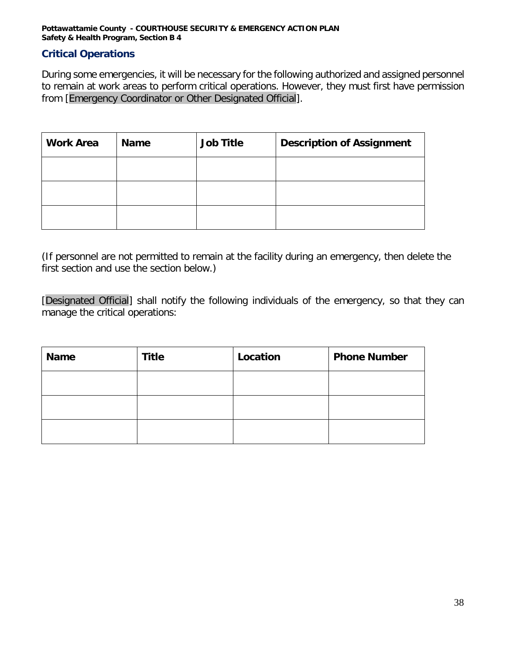# **Critical Operations**

During some emergencies, it will be necessary for the following authorized and assigned personnel to remain at work areas to perform critical operations. However, they must first have permission from [Emergency Coordinator or Other Designated Official].

| <b>Work Area</b> | <b>Name</b> | <b>Job Title</b> | <b>Description of Assignment</b> |
|------------------|-------------|------------------|----------------------------------|
|                  |             |                  |                                  |
|                  |             |                  |                                  |
|                  |             |                  |                                  |

(If personnel are not permitted to remain at the facility during an emergency, then delete the first section and use the section below.)

[Designated Official] shall notify the following individuals of the emergency, so that they can manage the critical operations:

| <b>Name</b> | <b>Title</b> | Location | <b>Phone Number</b> |
|-------------|--------------|----------|---------------------|
|             |              |          |                     |
|             |              |          |                     |
|             |              |          |                     |